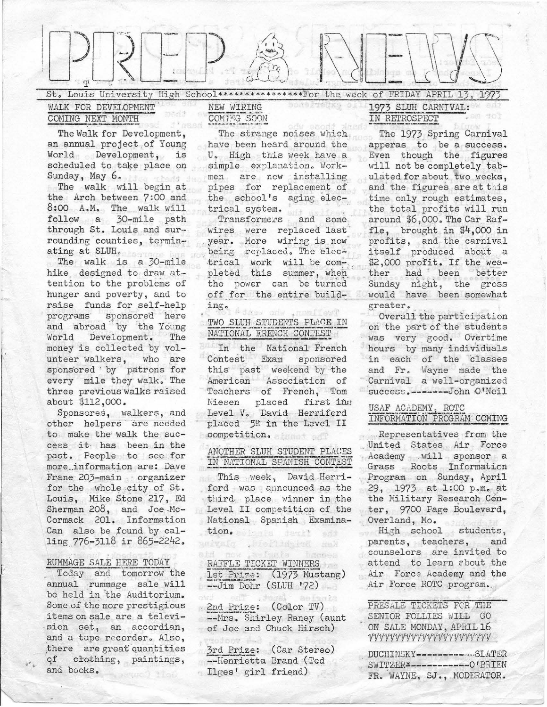

St. Louis University High School\*\*\*\*\*\*\*\*\*\*\*\*\*\*\*\*For the week of FRIDAY APRIL 13.

DORS TOURS OIL

### WALK FOR DEVELOPMENT COMING NEXT MONTH

The Walk for Development, an annual project of Young World Development, is scheduled to take place on Sunday, May 6.

The walk will begin at the Arch between 7:00 and 8:00 A.M. The walk will follow a 30-mile path through St. Louis and surrounding counties, terminating at SLUH.

The walk is a 30-mile hike designed to draw attention to the problems of hunger and poverty, and to raise funds for self-help sponsored here programs and abroad by the Young World Development. The money is collected by volunteer walkers, who are sponsored by patrons for every mile they walk. The three previous walks raised about \$112,000.

Sponsores, walkers, and other helpers are needed to make the walk the success it has been in the past. People to see for more.information are: Dave Frane 203-main : organizer for the whole city of St. Louis, Mike Stone 217, Ed Sherman 208, and Joe Mc-Cormack 201. Information Can also be found by calling 776-3118 ir 865-2242.

### RUMMAGE SALE HERE TODAY

Today and tomorrow the annual rummage sale will be held in the Auditorium. Some of the more prestigious items on sale are a television set, an accordian, and a tape recorder. Also, there are great quantities  $\circ$ f clothing, paintings, and books. seruco liab

# NEW WIRING COMING SOON

The strange noises which have been heard around the U. High this week have a simple explanation. Workmen are now installing pipes for replacement of the school's aging electrical system.

Transformers and some wires were replaced last year. More wiring is now being replaced. The electrical work will be completed this summer, when the power can be turned off for the entire building. Adrew only .nmllew?

### TWO SLUH STUDENTS PLACE IN NATIONAL FRENCH CONTEST

In the National French Contest Exam sponsored this past weekend by the American Association of Teachers of French, Tom placed first ing Niesen Level V. David Herriford placed 5th in the Level II competition.

### ANCTHER SLUH STUDENT PLACES IN NATIONAL SPANISH CONTEST

This week, David Herriford was announced as the third place winner in the Level II competition of the National Spanish Examination. daw H

.Declinated

RAFFLE TICKET WINNERS 1st Prize: (1973 Mustang)  $--Jim$  Dohr (SLUH  $'72$ )

2nd Prize: (Color TV) --Mrs. Shirley Raney (aunt of Joe and Chuck Hirsch)

3rd Prize: (Car Stereo) --Henrietta Brand (Ted Ilges' girl friend)

## 1973 SLUH CARNIVAL: IN RETROSPECT

The 1973 Spring Carnival apperas to be a success. Even though the figures will not be completely tabulated for about two weeks, and the figures are at this time only rough estimates, the total profits will run around \$6,000. The Car Raffle, brought in \$4,000 in profits, and the carnival itself produced about a \$2,000 profit. If the weather had been better Sunday night, the gross would have been somewhat greater.

Overall the participation on the part of the students was very good. Overtime hours by many individuals in each of the classes and Fr. Wayne made the Carnival a well-organized success. --------John O'Neil

### USAF ACADEMY, ROTC INFORMATION PROGRAM COMING

Representatives from the United States Air Force Academy will sponsor a Grass Roots Information Program on Sunday, April 29, 1973 at 1:00 p.m. at the Military Research Center, 9700 Page Boulevard, Overland, Mo.

High school students, parents, teachers, and counselors are invited to attend to learn about the Air Force Academy and the Air Force ROTC program.

PRESALE TICKETS FOR THE SENIOR FOLLIES WILL GO ON SALE MONDAY, APRIL 16 VVVVVVVVVVVVVVVVVVVVVVV

DUCHINSKY-------------SLATER SWITZER\*------------O'BRIEN FR. WAYNE, SJ., MODERATOR.